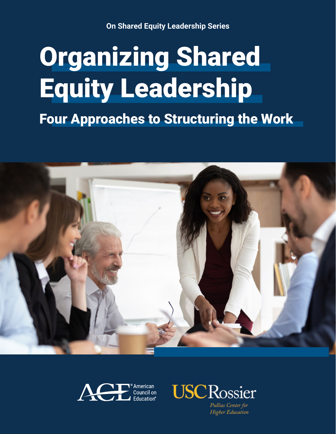**On Shared Equity Leadership Series**

# Organizing Shared Equity Leadership

Four Approaches to Structuring the Work







Pullias Center for **Higher Education**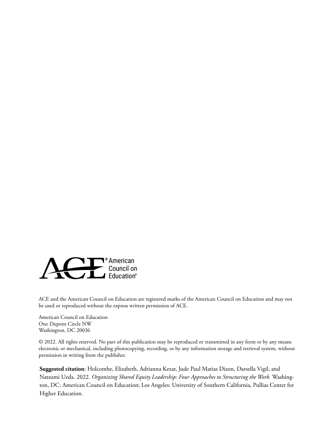

ACE and the American Council on Education are registered marks of the American Council on Education and may not be used or reproduced without the express written permission of ACE.

American Council on Education One Dupont Circle NW Washington, DC 20036

© 2022. All rights reserved. No part of this publication may be reproduced or transmitted in any form or by any means electronic or mechanical, including photocopying, recording, or by any information storage and retrieval system, without permission in writing from the publisher.

**Suggested citation**: Holcombe, Elizabeth, Adrianna Kezar, Jude Paul Matias Dizon, Darsella Vigil, and Natsumi Ueda. 2022. *Organizing Shared Equity Leadership: Four Approaches to Structuring the Work.* Washington, DC: American Council on Education; Los Angeles: University of Southern California, Pullias Center for Higher Education.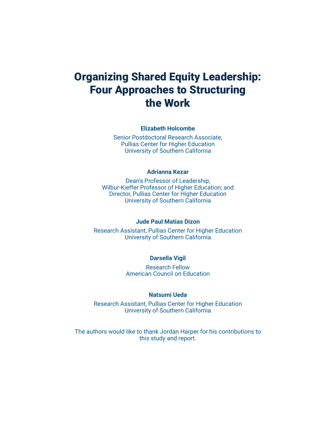### Organizing Shared Equity Leadership: Four Approaches to Structuring the Work

#### **Elizabeth Holcombe**

Senior Postdoctoral Research Associate, Pullias Center for Higher Education University of Southern California

#### **Adrianna Kezar**

Dean's Professor of Leadership; Wilbur-Kieffer Professor of Higher Education; and Director, Pullias Center for Higher Education University of Southern California

#### **Jude Paul Matias Dizon**

Research Assistant, Pullias Center for Higher Education University of Southern California

#### **Darsella Vigil**

Research Fellow American Council on Education

#### **Natsumi Ueda**

Research Assistant, Pullias Center for Higher Education University of Southern California

The authors would like to thank Jordan Harper for his contributions to this study and report.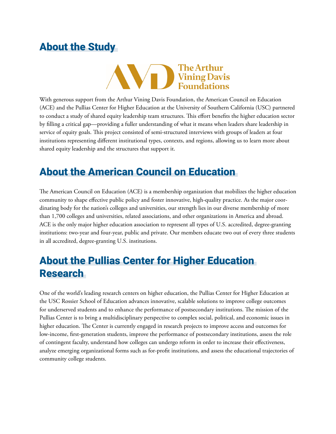### About the Study



With generous support from the Arthur Vining Davis Foundation, the American Council on Education (ACE) and the Pullias Center for Higher Education at the University of Southern California (USC) partnered to conduct a study of shared equity leadership team structures. This effort benefits the higher education sector by filling a critical gap—providing a fuller understanding of what it means when leaders share leadership in service of equity goals. This project consisted of semi-structured interviews with groups of leaders at four institutions representing different institutional types, contexts, and regions, allowing us to learn more about shared equity leadership and the structures that support it.

### About the American Council on Education

The American Council on Education (ACE) is a membership organization that mobilizes the higher education community to shape effective public policy and foster innovative, high-quality practice. As the major coordinating body for the nation's colleges and universities, our strength lies in our diverse membership of more than 1,700 colleges and universities, related associations, and other organizations in America and abroad. ACE is the only major higher education association to represent all types of U.S. accredited, degree-granting institutions: two-year and four-year, public and private. Our members educate two out of every three students in all accredited, degree-granting U.S. institutions.

### About the Pullias Center for Higher Education Research

One of the world's leading research centers on higher education, the Pullias Center for Higher Education at the USC Rossier School of Education advances innovative, scalable solutions to improve college outcomes for underserved students and to enhance the performance of postsecondary institutions. The mission of the Pullias Center is to bring a multidisciplinary perspective to complex social, political, and economic issues in higher education. The Center is currently engaged in research projects to improve access and outcomes for low-income, first-generation students, improve the performance of postsecondary institutions, assess the role of contingent faculty, understand how colleges can undergo reform in order to increase their effectiveness, analyze emerging organizational forms such as for-profit institutions, and assess the educational trajectories of community college students.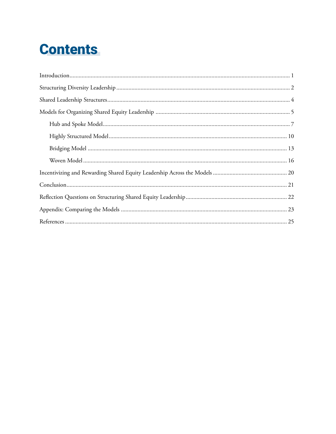# **Contents**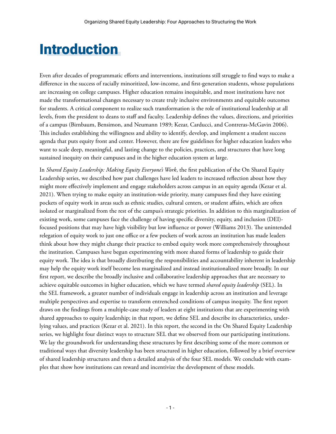# <span id="page-5-0"></span>**Introduction**

Even after decades of programmatic efforts and interventions, institutions still struggle to find ways to make a difference in the success of racially minoritized, low-income, and first-generation students, whose populations are increasing on college campuses. Higher education remains inequitable, and most institutions have not made the transformational changes necessary to create truly inclusive environments and equitable outcomes for students. A critical component to realize such transformation is the role of institutional leadership at all levels, from the president to deans to staff and faculty. Leadership defines the values, directions, and priorities of a campus (Birnbaum, Bensimon, and Neumann 1989; Kezar, Carducci, and Contreras-McGavin 2006). This includes establishing the willingness and ability to identify, develop, and implement a student success agenda that puts equity front and center. However, there are few guidelines for higher education leaders who want to scale deep, meaningful, and lasting change to the policies, practices, and structures that have long sustained inequity on their campuses and in the higher education system at large.

In *[Shared Equity Leadership: Making Equity Everyone's Work](https://www.acenet.edu/Documents/Shared-Equity-Leadership-Work.pdf)*, the first publication of the On Shared Equity Leadership series, we described how past challenges have led leaders to increased reflection about how they might more effectively implement and engage stakeholders across campus in an equity agenda (Kezar et al. 2021). When trying to make equity an institution-wide priority, many campuses find they have existing pockets of equity work in areas such as ethnic studies, cultural centers, or student affairs, which are often isolated or marginalized from the rest of the campus's strategic priorities. In addition to this marginalization of existing work, some campuses face the challenge of having specific diversity, equity, and inclusion (DEI) focused positions that may have high visibility but low influence or power (Williams 2013). The unintended relegation of equity work to just one office or a few pockets of work across an institution has made leaders think about how they might change their practice to embed equity work more comprehensively throughout the institution. Campuses have begun experimenting with more shared forms of leadership to guide their equity work. The idea is that broadly distributing the responsibilities and accountability inherent in leadership may help the equity work itself become less marginalized and instead institutionalized more broadly. In our first report, we describe the broadly inclusive and collaborative leadership approaches that are necessary to achieve equitable outcomes in higher education, which we have termed *shared equity leadership* (SEL). In the SEL framework, a greater number of individuals engage in leadership across an institution and leverage multiple perspectives and expertise to transform entrenched conditions of campus inequity. The first report draws on the findings from a multiple-case study of leaders at eight institutions that are experimenting with shared approaches to equity leadership; in that report, we define SEL and describe its characteristics, underlying values, and practices (Kezar et al. 2021). In this report, the second in the On Shared Equity Leadership series, we highlight four distinct ways to structure SEL that we observed from our participating institutions. We lay the groundwork for understanding these structures by first describing some of the more common or traditional ways that diversity leadership has been structured in higher education, followed by a brief overview of shared leadership structures and then a detailed analysis of the four SEL models. We conclude with examples that show how institutions can reward and incentivize the development of these models.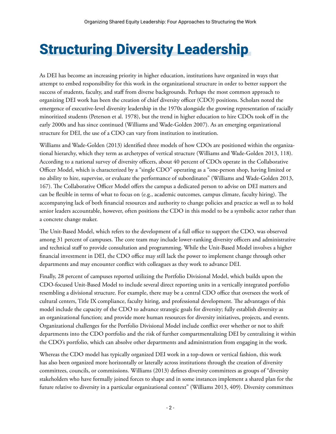### <span id="page-6-0"></span>Structuring Diversity Leadership

As DEI has become an increasing priority in higher education, institutions have organized in ways that attempt to embed responsibility for this work in the organizational structure in order to better support the success of students, faculty, and staff from diverse backgrounds. Perhaps the most common approach to organizing DEI work has been the creation of chief diversity officer (CDO) positions. Scholars noted the emergence of executive-level diversity leadership in the 1970s alongside the growing representation of racially minoritized students (Peterson et al. 1978), but the trend in higher education to hire CDOs took off in the early 2000s and has since continued (Williams and Wade-Golden 2007). As an emerging organizational structure for DEI, the use of a CDO can vary from institution to institution.

Williams and Wade-Golden (2013) identified three models of how CDOs are positioned within the organizational hierarchy, which they term as archetypes of vertical structure (Williams and Wade-Golden 2013, 118). According to a national survey of diversity officers, about 40 percent of CDOs operate in the Collaborative Officer Model, which is characterized by a "single CDO" operating as a "one-person shop, having limited or no ability to hire, supervise, or evaluate the performance of subordinates" (Williams and Wade-Golden 2013, 167). The Collaborative Officer Model offers the campus a dedicated person to advise on DEI matters and can be flexible in terms of what to focus on (e.g., academic outcomes, campus climate, faculty hiring). The accompanying lack of both financial resources and authority to change policies and practice as well as to hold senior leaders accountable, however, often positions the CDO in this model to be a symbolic actor rather than a concrete change maker.

The Unit-Based Model, which refers to the development of a full office to support the CDO, was observed among 31 percent of campuses. The core team may include lower-ranking diversity officers and administrative and technical staff to provide consultation and programming. While the Unit-Based Model involves a higher financial investment in DEI, the CDO office may still lack the power to implement change through other departments and may encounter conflict with colleagues as they work to advance DEI.

Finally, 28 percent of campuses reported utilizing the Portfolio Divisional Model, which builds upon the CDO-focused Unit-Based Model to include several direct reporting units in a vertically integrated portfolio resembling a divisional structure. For example, there may be a central CDO office that oversees the work of cultural centers, Title IX compliance, faculty hiring, and professional development. The advantages of this model include the capacity of the CDO to advance strategic goals for diversity; fully establish diversity as an organizational function; and provide more human resources for diversity initiatives, projects, and events. Organizational challenges for the Portfolio Divisional Model include conflict over whether or not to shift departments into the CDO portfolio and the risk of further compartmentalizing DEI by centralizing it within the CDO's portfolio, which can absolve other departments and administration from engaging in the work.

Whereas the CDO model has typically organized DEI work in a top-down or vertical fashion, this work has also been organized more horizontally or laterally across institutions through the creation of diversity committees, councils, or commissions. Williams (2013) defines diversity committees as groups of "diversity stakeholders who have formally joined forces to shape and in some instances implement a shared plan for the future relative to diversity in a particular organizational context" (Williams 2013, 409). Diversity committees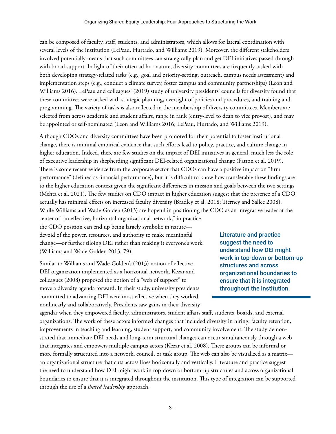can be composed of faculty, staff, students, and administrators, which allows for lateral coordination with several levels of the institution (LePeau, Hurtado, and Williams 2019). Moreover, the different stakeholders involved potentially means that such committees can strategically plan and get DEI initiatives passed through with broad support. In light of their often ad hoc nature, diversity committees are frequently tasked with both developing strategy-related tasks (e.g., goal and priority-setting, outreach, campus needs assessment) and implementation steps (e.g., conduct a climate survey, foster campus and community partnerships) (Leon and Williams 2016). LePeau and colleagues' (2019) study of university presidents' councils for diversity found that these committees were tasked with strategic planning, oversight of policies and procedures, and training and programming. The variety of tasks is also reflected in the membership of diversity committees. Members are selected from across academic and student affairs, range in rank (entry-level to dean to vice provost), and may be appointed or self-nominated (Leon and Williams 2016; LePeau, Hurtado, and Williams 2019).

Although CDOs and diversity committees have been promoted for their potential to foster institutional change, there is minimal empirical evidence that such efforts lead to policy, practice, and culture change in higher education. Indeed, there are few studies on the impact of DEI initiatives in general, much less the role of executive leadership in shepherding significant DEI-related organizational change (Patton et al. 2019). There is some recent evidence from the corporate sector that CDOs can have a positive impact on "firm performance" (defined as financial performance), but it is difficult to know how transferable these findings are to the higher education context given the significant differences in mission and goals between the two settings (Mehta et al. 2021). The few studies on CDO impact in higher education suggest that the presence of a CDO actually has minimal effects on increased faculty diversity (Bradley et al. 2018; Tierney and Sallee 2008). While Williams and Wade-Golden (2013) are hopeful in positioning the CDO as an integrative leader at the center of "an effective, horizontal organizational network," in practice

the CDO position can end up being largely symbolic in nature devoid of the power, resources, and authority to make meaningful change—or further siloing DEI rather than making it everyone's work (Williams and Wade-Golden 2013, 79).

Similar to Williams and Wade-Golden's (2013) notion of effective DEI organization implemented as a horizontal network, Kezar and colleagues (2008) proposed the notion of a "web of support" to move a diversity agenda forward. In their study, university presidents committed to advancing DEI were most effective when they worked nonlinearly and collaboratively. Presidents saw gains in their diversity Literature and practice suggest the need to understand how DEI might work in top-down or bottom-up structures and across organizational boundaries to ensure that it is integrated throughout the institution.

agendas when they empowered faculty, administrators, student affairs staff, students, boards, and external organizations. The work of these actors informed changes that included diversity in hiring, faculty retention, improvements in teaching and learning, student support, and community involvement. The study demonstrated that immediate DEI needs and long-term structural changes can occur simultaneously through a web that integrates and empowers multiple campus actors (Kezar et al. 2008). These groups can be informal or more formally structured into a network, council, or task group. The web can also be visualized as a matrix an organizational structure that cuts across lines horizontally and vertically. Literature and practice suggest the need to understand how DEI might work in top-down or bottom-up structures and across organizational boundaries to ensure that it is integrated throughout the institution. This type of integration can be supported through the use of a *shared leadership* approach.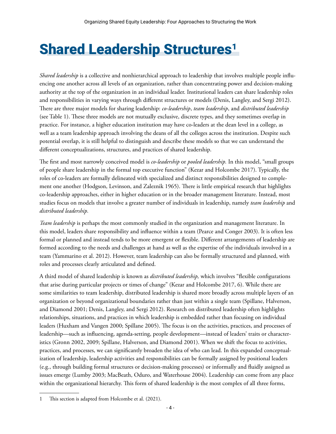# <span id="page-8-0"></span>**Shared Leadership Structures<sup>1</sup>**

*Shared leadership* is a collective and nonhierarchical approach to leadership that involves multiple people influencing one another across all levels of an organization, rather than concentrating power and decision-making authority at the top of the organization in an individual leader. Institutional leaders can share leadership roles and responsibilities in varying ways through different structures or models (Denis, Langley, and Sergi 2012). There are three major models for sharing leadership: *co-leadership*, *team leadership*, and *distributed leadership* (see Table 1). These three models are not mutually exclusive, discrete types, and they sometimes overlap in practice. For instance, a higher education institution may have co-leaders at the dean level in a college, as well as a team leadership approach involving the deans of all the colleges across the institution. Despite such potential overlap, it is still helpful to distinguish and describe these models so that we can understand the different conceptualizations, structures, and practices of shared leadership.

The first and most narrowly conceived model is *co-leadership* or *pooled leadership.* In this model, "small groups of people share leadership in the formal top executive function" (Kezar and Holcombe 2017). Typically, the roles of co-leaders are formally delineated with specialized and distinct responsibilities designed to complement one another (Hodgson, Levinson, and Zaleznik 1965). There is little empirical research that highlights co-leadership approaches, either in higher education or in the broader management literature. Instead, most studies focus on models that involve a greater number of individuals in leadership, namely *team leadership* and *distributed leadership.*

*Team leadership* is perhaps the most commonly studied in the organization and management literature. In this model, leaders share responsibility and influence within a team (Pearce and Conger 2003). It is often less formal or planned and instead tends to be more emergent or flexible. Different arrangements of leadership are formed according to the needs and challenges at hand as well as the expertise of the individuals involved in a team (Yammarino et al. 2012). However, team leadership can also be formally structured and planned, with roles and processes clearly articulated and defined.

A third model of shared leadership is known as *distributed leadership,* which involves "flexible configurations that arise during particular projects or times of change" (Kezar and Holcombe 2017, 6). While there are some similarities to team leadership, distributed leadership is shared more broadly across multiple layers of an organization or beyond organizational boundaries rather than just within a single team (Spillane, Halverson, and Diamond 2001; Denis, Langley, and Sergi 2012). Research on distributed leadership often highlights relationships, situations, and practices in which leadership is embedded rather than focusing on individual leaders (Huxham and Vangen 2000; Spillane 2005). The focus is on the activities, practices, and processes of leadership—such as influencing, agenda-setting, people development—instead of leaders' traits or characteristics (Gronn 2002, 2009; Spillane, Halverson, and Diamond 2001). When we shift the focus to activities, practices, and processes, we can significantly broaden the idea of who can lead. In this expanded conceptualization of leadership, leadership activities and responsibilities can be formally assigned by positional leaders (e.g., through building formal structures or decision-making processes) or informally and fluidly assigned as issues emerge (Lumby 2003; MacBeath, Oduro, and Waterhouse 2004). Leadership can come from any place within the organizational hierarchy. This form of shared leadership is the most complex of all three forms,

<sup>1</sup> This section is adapted from Holcombe et al. (2021).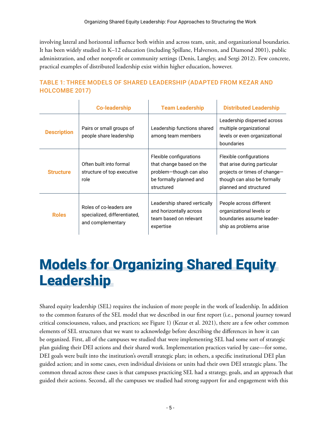<span id="page-9-0"></span>involving lateral and horizontal influence both within and across team, unit, and organizational boundaries. It has been widely studied in K–12 education (including Spillane, Halverson, and Diamond 2001), public administration, and other nonprofit or community settings (Denis, Langley, and Sergi 2012). Few concrete, practical examples of distributed leadership exist within higher education, however.

#### TABLE 1: THREE MODELS OF SHARED LEADERSHIP (ADAPTED FROM KEZAR AND HOLCOMBE 2017)

|                    | <b>Co-leadership</b>                                                         | <b>Team Leadership</b>                                                                                                  | <b>Distributed Leadership</b>                                                                                                                    |
|--------------------|------------------------------------------------------------------------------|-------------------------------------------------------------------------------------------------------------------------|--------------------------------------------------------------------------------------------------------------------------------------------------|
| <b>Description</b> | Pairs or small groups of<br>people share leadership                          | Leadership functions shared<br>among team members                                                                       | Leadership dispersed across<br>multiple organizational<br>levels or even organizational<br>boundaries                                            |
| <b>Structure</b>   | Often built into formal<br>structure of top executive<br>role                | Flexible configurations<br>that change based on the<br>problem-though can also<br>be formally planned and<br>structured | Flexible configurations<br>that arise during particular<br>projects or times of change-<br>though can also be formally<br>planned and structured |
| <b>Roles</b>       | Roles of co-leaders are<br>specialized, differentiated,<br>and complementary | Leadership shared vertically<br>and horizontally across<br>team based on relevant<br>expertise                          | People across different<br>organizational levels or<br>boundaries assume leader-<br>ship as problems arise                                       |

### Models for Organizing Shared Equity **Leadership**

Shared equity leadership (SEL) requires the inclusion of more people in the work of leadership. In addition to the common features of the SEL model that we described in our first report (i.e., personal journey toward critical consciousness, values, and practices; see Figure 1) (Kezar et al. 2021), there are a few other common elements of SEL structures that we want to acknowledge before describing the differences in how it can be organized. First, all of the campuses we studied that were implementing SEL had some sort of strategic plan guiding their DEI actions and their shared work. Implementation practices varied by case—for some, DEI goals were built into the institution's overall strategic plan; in others, a specific institutional DEI plan guided action; and in some cases, even individual divisions or units had their own DEI strategic plans. The common thread across these cases is that campuses practicing SEL had a strategy, goals, and an approach that guided their actions. Second, all the campuses we studied had strong support for and engagement with this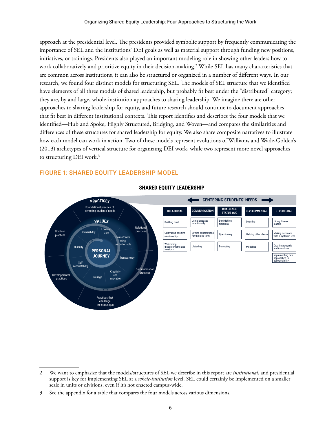approach at the presidential level. The presidents provided symbolic support by frequently communicating the importance of SEL and the institutions' DEI goals as well as material support through funding new positions, initiatives, or trainings. Presidents also played an important modeling role in showing other leaders how to work collaboratively and prioritize equity in their decision-making.2 While SEL has many characteristics that are common across institutions, it can also be structured or organized in a number of different ways. In our research, we found four distinct models for structuring SEL. The models of SEL structure that we identified have elements of all three models of shared leadership, but probably fit best under the "distributed" category; they are, by and large, whole-institution approaches to sharing leadership. We imagine there are other approaches to sharing leadership for equity, and future research should continue to document approaches that fit best in different institutional contexts. This report identifies and describes the four models that we identified—Hub and Spoke, Highly Structured, Bridging, and Woven—and compares the similarities and differences of these structures for shared leadership for equity. We also share composite narratives to illustrate how each model can work in action. Two of these models represent evolutions of Williams and Wade-Golden's (2013) archetypes of vertical structure for organizing DEI work, while two represent more novel approaches to structuring DEI work.<sup>3</sup>

#### FIGURE 1: SHARED EQUITY LEADERSHIP MODEL



#### **SHARED EQUITY LEADERSHIP**

<sup>2</sup> We want to emphasize that the models/structures of SEL we describe in this report are *institutional*, and presidential support is key for implementing SEL at a *whole-institution* level. SEL could certainly be implemented on a smaller scale in units or divisions, even if it's not enacted campus-wide.

<sup>3</sup> See the appendix for a table that compares the four models across various dimensions.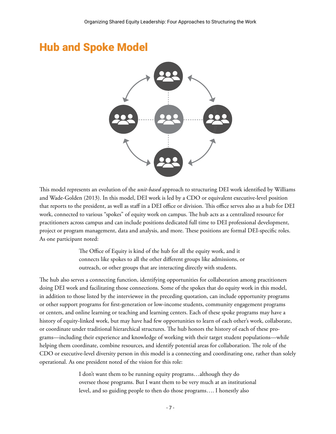### <span id="page-11-0"></span>**Hub and Spoke Model**



This model represents an evolution of the *unit-based* approach to structuring DEI work identified by Williams and Wade-Golden (2013). In this model, DEI work is led by a CDO or equivalent executive-level position that reports to the president, as well as staff in a DEI office or division. This office serves also as a hub for DEI work, connected to various "spokes" of equity work on campus. The hub acts as a centralized resource for practitioners across campus and can include positions dedicated full time to DEI professional development, project or program management, data and analysis, and more. These positions are formal DEI-specific roles. As one participant noted:

> The Office of Equity is kind of the hub for all the equity work, and it connects like spokes to all the other different groups like admissions, or outreach, or other groups that are interacting directly with students.

The hub also serves a connecting function, identifying opportunities for collaboration among practitioners doing DEI work and facilitating those connections. Some of the spokes that do equity work in this model, in addition to those listed by the interviewee in the preceding quotation, can include opportunity programs or other support programs for first-generation or low-income students, community engagement programs or centers, and online learning or teaching and learning centers. Each of these spoke programs may have a history of equity-linked work, but may have had few opportunities to learn of each other's work, collaborate, or coordinate under traditional hierarchical structures. The hub honors the history of each of these programs—including their experience and knowledge of working with their target student populations—while helping them coordinate, combine resources, and identify potential areas for collaboration. The role of the CDO or executive-level diversity person in this model is a connecting and coordinating one, rather than solely operational. As one president noted of the vision for this role:

> I don't want them to be running equity programs…although they do oversee those programs. But I want them to be very much at an institutional level, and so guiding people to then do those programs…. I honestly also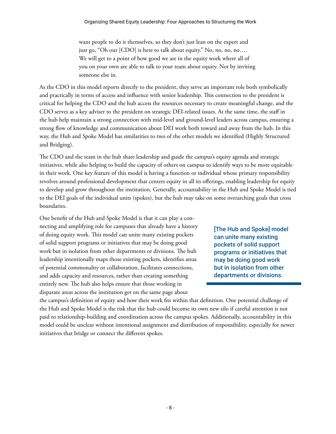want people to do it themselves, so they don't just lean on the expert and just go, "Oh our [CDO] is here to talk about equity." No, no, no, no…. We will get to a point of how good we are in the equity work where all of you on your own are able to talk to your team about equity. Not by inviting someone else in.

As the CDO in this model reports directly to the president, they serve an important role both symbolically and practically in terms of access and influence with senior leadership. This connection to the president is critical for helping the CDO and the hub access the resources necessary to create meaningful change, and the CDO serves as a key adviser to the president on strategic DEI-related issues. At the same time, the staff in the hub help maintain a strong connection with mid-level and ground-level leaders across campus, ensuring a strong flow of knowledge and communication about DEI work both toward and away from the hub. In this way, the Hub and Spoke Model has similarities to two of the other models we identified (Highly Structured and Bridging).

The CDO and the team in the hub share leadership and guide the campus's equity agenda and strategic initiatives, while also helping to build the capacity of others on campus to identify ways to be more equitable in their work. One key feature of this model is having a function or individual whose primary responsibility revolves around professional development that centers equity in all its offerings, enabling leadership for equity to develop and grow throughout the institution. Generally, accountability in the Hub and Spoke Model is tied to the DEI goals of the individual units (spokes), but the hub may take on some overarching goals that cross boundaries.

One benefit of the Hub and Spoke Model is that it can play a connecting and amplifying role for campuses that already have a history of doing equity work. This model can unite many existing pockets of solid support programs or initiatives that may be doing good work but in isolation from other departments or divisions. The hub leadership intentionally maps those existing pockets, identifies areas of potential commonality or collaboration, facilitates connections, and adds capacity and resources, rather than creating something entirely new. The hub also helps ensure that those working in disparate areas across the institution get on the same page about

[The Hub and Spoke] model can unite many existing pockets of solid support programs or initiatives that may be doing good work but in isolation from other departments or divisions.

the campus's definition of equity and how their work fits within that definition. One potential challenge of the Hub and Spoke Model is the risk that the hub could become its own new silo if careful attention is not paid to relationship-building and coordination across the campus spokes. Additionally, accountability in this model could be unclear without intentional assignment and distribution of responsibility, especially for newer initiatives that bridge or connect the different spokes.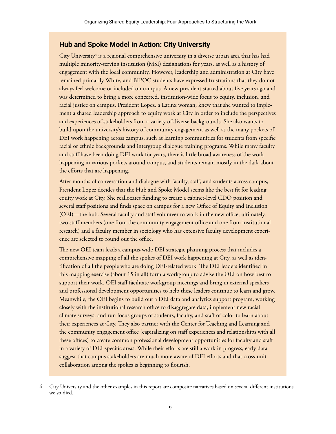#### **Hub and Spoke Model in Action: City University**

City University<sup>4</sup> is a regional comprehensive university in a diverse urban area that has had multiple minority-serving institution (MSI) designations for years, as well as a history of engagement with the local community. However, leadership and administration at City have remained primarily White, and BIPOC students have expressed frustrations that they do not always feel welcome or included on campus. A new president started about five years ago and was determined to bring a more concerted, institution-wide focus to equity, inclusion, and racial justice on campus. President Lopez, a Latinx woman, knew that she wanted to implement a shared leadership approach to equity work at City in order to include the perspectives and experiences of stakeholders from a variety of diverse backgrounds. She also wants to build upon the university's history of community engagement as well as the many pockets of DEI work happening across campus, such as learning communities for students from specific racial or ethnic backgrounds and intergroup dialogue training programs. While many faculty and staff have been doing DEI work for years, there is little broad awareness of the work happening in various pockets around campus, and students remain mostly in the dark about the efforts that are happening.

After months of conversation and dialogue with faculty, staff, and students across campus, President Lopez decides that the Hub and Spoke Model seems like the best fit for leading equity work at City. She reallocates funding to create a cabinet-level CDO position and several staff positions and finds space on campus for a new Office of Equity and Inclusion (OEI)—the hub. Several faculty and staff volunteer to work in the new office; ultimately, two staff members (one from the community engagement office and one from institutional research) and a faculty member in sociology who has extensive faculty development experience are selected to round out the office.

The new OEI team leads a campus-wide DEI strategic planning process that includes a comprehensive mapping of all the spokes of DEI work happening at City, as well as identification of all the people who are doing DEI-related work. The DEI leaders identified in this mapping exercise (about 15 in all) form a workgroup to advise the OEI on how best to support their work. OEI staff facilitate workgroup meetings and bring in external speakers and professional development opportunities to help these leaders continue to learn and grow. Meanwhile, the OEI begins to build out a DEI data and analytics support program, working closely with the institutional research office to disaggregate data; implement new racial climate surveys; and run focus groups of students, faculty, and staff of color to learn about their experiences at City. They also partner with the Center for Teaching and Learning and the community engagement office (capitalizing on staff experiences and relationships with all these offices) to create common professional development opportunities for faculty and staff in a variety of DEI-specific areas. While their efforts are still a work in progress, early data suggest that campus stakeholders are much more aware of DEI efforts and that cross-unit collaboration among the spokes is beginning to flourish.

<sup>4</sup> City University and the other examples in this report are composite narratives based on several different institutions we studied.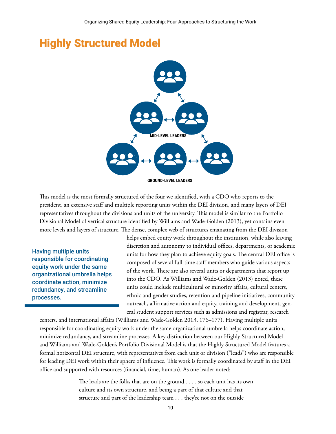### <span id="page-14-0"></span>**Highly Structured Model**



This model is the most formally structured of the four we identified, with a CDO who reports to the president, an extensive staff and multiple reporting units within the DEI division, and many layers of DEI representatives throughout the divisions and units of the university. This model is similar to the Portfolio Divisional Model of vertical structure identified by Williams and Wade-Golden (2013), yet contains even more levels and layers of structure. The dense, complex web of structures emanating from the DEI division

Having multiple units responsible for coordinating equity work under the same organizational umbrella helps coordinate action, minimize redundancy, and streamline processes.

helps embed equity work throughout the institution, while also leaving discretion and autonomy to individual offices, departments, or academic units for how they plan to achieve equity goals. The central DEI office is composed of several full-time staff members who guide various aspects of the work. There are also several units or departments that report up into the CDO. As Williams and Wade-Golden (2013) noted, these units could include multicultural or minority affairs, cultural centers, ethnic and gender studies, retention and pipeline initiatives, community outreach, affirmative action and equity, training and development, general student support services such as admissions and registrar, research

centers, and international affairs (Williams and Wade-Golden 2013, 176–177). Having multiple units responsible for coordinating equity work under the same organizational umbrella helps coordinate action, minimize redundancy, and streamline processes. A key distinction between our Highly Structured Model and Williams and Wade-Golden's Portfolio Divisional Model is that the Highly Structured Model features a formal horizontal DEI structure, with representatives from each unit or division ("leads") who are responsible for leading DEI work within their sphere of influence. This work is formally coordinated by staff in the DEI office and supported with resources (financial, time, human). As one leader noted:

> The leads are the folks that are on the ground . . . . so each unit has its own culture and its own structure, and being a part of that culture and that structure and part of the leadership team . . . they're not on the outside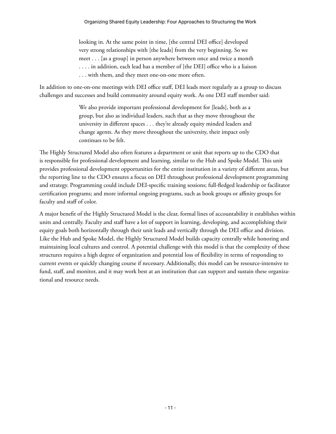looking in. At the same point in time, [the central DEI office] developed very strong relationships with [the leads] from the very beginning. So we meet . . . [as a group] in person anywhere between once and twice a month . . . . in addition, each lead has a member of [the DEI] office who is a liaison . . . with them, and they meet one-on-one more often.

In addition to one-on-one meetings with DEI office staff, DEI leads meet regularly as a group to discuss challenges and successes and build community around equity work. As one DEI staff member said:

> We also provide important professional development for [leads], both as a group, but also as individual leaders, such that as they move throughout the university in different spaces . . . they're already equity minded leaders and change agents. As they move throughout the university, their impact only continues to be felt.

The Highly Structured Model also often features a department or unit that reports up to the CDO that is responsible for professional development and learning, similar to the Hub and Spoke Model. This unit provides professional development opportunities for the entire institution in a variety of different areas, but the reporting line to the CDO ensures a focus on DEI throughout professional development programming and strategy. Programming could include DEI-specific training sessions; full-fledged leadership or facilitator certification programs; and more informal ongoing programs, such as book groups or affinity groups for faculty and staff of color.

A major benefit of the Highly Structured Model is the clear, formal lines of accountability it establishes within units and centrally. Faculty and staff have a lot of support in learning, developing, and accomplishing their equity goals both horizontally through their unit leads and vertically through the DEI office and division. Like the Hub and Spoke Model, the Highly Structured Model builds capacity centrally while honoring and maintaining local cultures and control. A potential challenge with this model is that the complexity of these structures requires a high degree of organization and potential loss of flexibility in terms of responding to current events or quickly changing course if necessary. Additionally, this model can be resource-intensive to fund, staff, and monitor, and it may work best at an institution that can support and sustain these organizational and resource needs.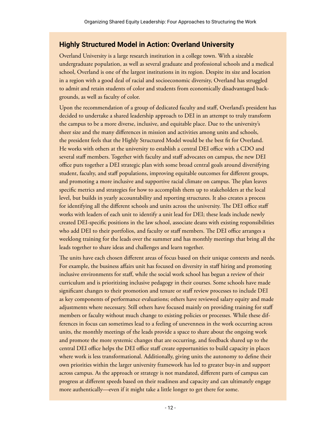#### **Highly Structured Model in Action: Overland University**

Overland University is a large research institution in a college town. With a sizeable undergraduate population, as well as several graduate and professional schools and a medical school, Overland is one of the largest institutions in its region. Despite its size and location in a region with a good deal of racial and socioeconomic diversity, Overland has struggled to admit and retain students of color and students from economically disadvantaged backgrounds, as well as faculty of color.

Upon the recommendation of a group of dedicated faculty and staff, Overland's president has decided to undertake a shared leadership approach to DEI in an attempt to truly transform the campus to be a more diverse, inclusive, and equitable place. Due to the university's sheer size and the many differences in mission and activities among units and schools, the president feels that the Highly Structured Model would be the best fit for Overland. He works with others at the university to establish a central DEI office with a CDO and several staff members. Together with faculty and staff advocates on campus, the new DEI office puts together a DEI strategic plan with some broad central goals around diversifying student, faculty, and staff populations, improving equitable outcomes for different groups, and promoting a more inclusive and supportive racial climate on campus. The plan leaves specific metrics and strategies for how to accomplish them up to stakeholders at the local level, but builds in yearly accountability and reporting structures. It also creates a process for identifying all the different schools and units across the university. The DEI office staff works with leaders of each unit to identify a unit lead for DEI; these leads include newly created DEI-specific positions in the law school, associate deans with existing responsibilities who add DEI to their portfolios, and faculty or staff members. The DEI office arranges a weeklong training for the leads over the summer and has monthly meetings that bring all the leads together to share ideas and challenges and learn together.

The units have each chosen different areas of focus based on their unique contexts and needs. For example, the business affairs unit has focused on diversity in staff hiring and promoting inclusive environments for staff, while the social work school has begun a review of their curriculum and is prioritizing inclusive pedagogy in their courses. Some schools have made significant changes to their promotion and tenure or staff review processes to include DEI as key components of performance evaluations; others have reviewed salary equity and made adjustments where necessary. Still others have focused mainly on providing training for staff members or faculty without much change to existing policies or processes. While these differences in focus can sometimes lead to a feeling of unevenness in the work occurring across units, the monthly meetings of the leads provide a space to share about the ongoing work and promote the more systemic changes that are occurring, and feedback shared up to the central DEI office helps the DEI office staff create opportunities to build capacity in places where work is less transformational. Additionally, giving units the autonomy to define their own priorities within the larger university framework has led to greater buy-in and support across campus. As the approach or strategy is not mandated, different parts of campus can progress at different speeds based on their readiness and capacity and can ultimately engage more authentically—even if it might take a little longer to get there for some.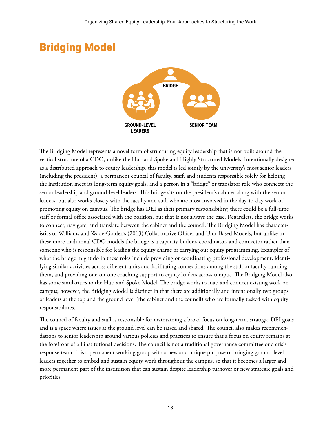<span id="page-17-0"></span>

The Bridging Model represents a novel form of structuring equity leadership that is not built around the vertical structure of a CDO, unlike the Hub and Spoke and Highly Structured Models. Intentionally designed as a distributed approach to equity leadership, this model is led jointly by the university's most senior leaders (including the president); a permanent council of faculty, staff, and students responsible solely for helping the institution meet its long-term equity goals; and a person in a "bridge" or translator role who connects the senior leadership and ground-level leaders. This bridge sits on the president's cabinet along with the senior leaders, but also works closely with the faculty and staff who are most involved in the day-to-day work of promoting equity on campus. The bridge has DEI as their primary responsibility; there could be a full-time staff or formal office associated with the position, but that is not always the case. Regardless, the bridge works to connect, navigate, and translate between the cabinet and the council. The Bridging Model has characteristics of Williams and Wade-Golden's (2013) Collaborative Officer and Unit-Based Models, but unlike in these more traditional CDO models the bridge is a capacity builder, coordinator, and connector rather than someone who is responsible for leading the equity charge or carrying out equity programming. Examples of what the bridge might do in these roles include providing or coordinating professional development, identifying similar activities across different units and facilitating connections among the staff or faculty running them, and providing one-on-one coaching support to equity leaders across campus. The Bridging Model also has some similarities to the Hub and Spoke Model. The bridge works to map and connect existing work on campus; however, the Bridging Model is distinct in that there are additionally and intentionally two groups of leaders at the top and the ground level (the cabinet and the council) who are formally tasked with equity responsibilities.

The council of faculty and staff is responsible for maintaining a broad focus on long-term, strategic DEI goals and is a space where issues at the ground level can be raised and shared. The council also makes recommendations to senior leadership around various policies and practices to ensure that a focus on equity remains at the forefront of all institutional decisions. The council is not a traditional governance committee or a crisis response team. It is a permanent working group with a new and unique purpose of bringing ground-level leaders together to embed and sustain equity work throughout the campus, so that it becomes a larger and more permanent part of the institution that can sustain despite leadership turnover or new strategic goals and priorities.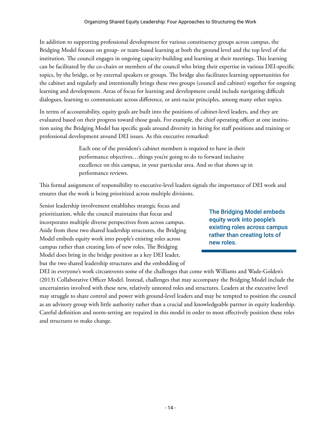In addition to supporting professional development for various constituency groups across campus, the Bridging Model focuses on group- or team-based learning at both the ground level and the top level of the institution. The council engages in ongoing capacity-building and learning at their meetings. This learning can be facilitated by the co-chairs or members of the council who bring their expertise in various DEI-specific topics, by the bridge, or by external speakers or groups. The bridge also facilitates learning opportunities for the cabinet and regularly and intentionally brings these two groups (council and cabinet) together for ongoing learning and development. Areas of focus for learning and development could include navigating difficult dialogues, learning to communicate across difference, or anti-racist principles, among many other topics.

In terms of accountability, equity goals are built into the positions of cabinet-level leaders, and they are evaluated based on their progress toward those goals. For example, the chief operating officer at one institution using the Bridging Model has specific goals around diversity in hiring for staff positions and training or professional development around DEI issues. As this executive remarked:

> Each one of the president's cabinet members is required to have in their performance objectives…things you're going to do to forward inclusive excellence on this campus, in your particular area. And so that shows up in performance reviews.

This formal assignment of responsibility to executive-level leaders signals the importance of DEI work and ensures that the work is being prioritized across multiple divisions.

Senior leadership involvement establishes strategic focus and prioritization, while the council maintains that focus and incorporates multiple diverse perspectives from across campus. Aside from these two shared leadership structures, the Bridging Model embeds equity work into people's existing roles across campus rather than creating lots of new roles. The Bridging Model does bring in the bridge position as a key DEI leader, but the two shared leadership structures and the embedding of

The Bridging Model embeds equity work into people's existing roles across campus rather than creating lots of new roles.

DEI in everyone's work circumvents some of the challenges that come with Williams and Wade-Golden's (2013) Collaborative Officer Model. Instead, challenges that may accompany the Bridging Model include the uncertainties involved with these new, relatively untested roles and structures. Leaders at the executive level may struggle to share control and power with ground-level leaders and may be tempted to position the council as an advisory group with little authority rather than a crucial and knowledgeable partner in equity leadership. Careful definition and norm-setting are required in this model in order to most effectively position these roles and structures to make change.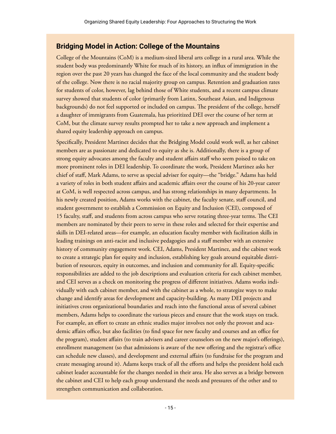#### **Bridging Model in Action: College of the Mountains**

College of the Mountains (CoM) is a medium-sized liberal arts college in a rural area. While the student body was predominantly White for much of its history, an influx of immigration in the region over the past 20 years has changed the face of the local community and the student body of the college. Now there is no racial majority group on campus. Retention and graduation rates for students of color, however, lag behind those of White students, and a recent campus climate survey showed that students of color (primarily from Latinx, Southeast Asian, and Indigenous backgrounds) do not feel supported or included on campus. The president of the college, herself a daughter of immigrants from Guatemala, has prioritized DEI over the course of her term at CoM, but the climate survey results prompted her to take a new approach and implement a shared equity leadership approach on campus.

Specifically, President Martinez decides that the Bridging Model could work well, as her cabinet members are as passionate and dedicated to equity as she is. Additionally, there is a group of strong equity advocates among the faculty and student affairs staff who seem poised to take on more prominent roles in DEI leadership. To coordinate the work, President Martinez asks her chief of staff, Mark Adams, to serve as special adviser for equity—the "bridge." Adams has held a variety of roles in both student affairs and academic affairs over the course of his 20-year career at CoM, is well respected across campus, and has strong relationships in many departments. In his newly created position, Adams works with the cabinet, the faculty senate, staff council, and student government to establish a Commission on Equity and Inclusion (CEI), composed of 15 faculty, staff, and students from across campus who serve rotating three-year terms. The CEI members are nominated by their peers to serve in these roles and selected for their expertise and skills in DEI-related areas—for example, an education faculty member with facilitation skills in leading trainings on anti-racist and inclusive pedagogies and a staff member with an extensive history of community engagement work. CEI, Adams, President Martinez, and the cabinet work to create a strategic plan for equity and inclusion, establishing key goals around equitable distribution of resources, equity in outcomes, and inclusion and community for all. Equity-specific responsibilities are added to the job descriptions and evaluation criteria for each cabinet member, and CEI serves as a check on monitoring the progress of different initiatives. Adams works individually with each cabinet member, and with the cabinet as a whole, to strategize ways to make change and identify areas for development and capacity-building. As many DEI projects and initiatives cross organizational boundaries and reach into the functional areas of several cabinet members, Adams helps to coordinate the various pieces and ensure that the work stays on track. For example, an effort to create an ethnic studies major involves not only the provost and academic affairs office, but also facilities (to find space for new faculty and courses and an office for the program), student affairs (to train advisers and career counselors on the new major's offerings), enrollment management (so that admissions is aware of the new offering and the registrar's office can schedule new classes), and development and external affairs (to fundraise for the program and create messaging around it). Adams keeps track of all the efforts and helps the president hold each cabinet leader accountable for the changes needed in their area. He also serves as a bridge between the cabinet and CEI to help each group understand the needs and pressures of the other and to strengthen communication and collaboration.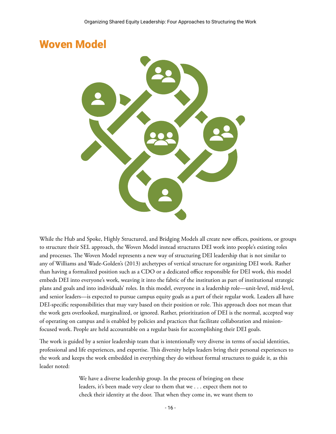### <span id="page-20-0"></span>**Woven Model**



While the Hub and Spoke, Highly Structured, and Bridging Models all create new offices, positions, or groups to structure their SEL approach, the Woven Model instead structures DEI work into people's existing roles and processes. The Woven Model represents a new way of structuring DEI leadership that is not similar to any of Williams and Wade-Golden's (2013) archetypes of vertical structure for organizing DEI work. Rather than having a formalized position such as a CDO or a dedicated office responsible for DEI work, this model embeds DEI into everyone's work, weaving it into the fabric of the institution as part of institutional strategic plans and goals and into individuals' roles. In this model, everyone in a leadership role—unit-level, mid-level, and senior leaders—is expected to pursue campus equity goals as a part of their regular work. Leaders all have DEI-specific responsibilities that may vary based on their position or role. This approach does not mean that the work gets overlooked, marginalized, or ignored. Rather, prioritization of DEI is the normal, accepted way of operating on campus and is enabled by policies and practices that facilitate collaboration and missionfocused work. People are held accountable on a regular basis for accomplishing their DEI goals.

The work is guided by a senior leadership team that is intentionally very diverse in terms of social identities, professional and life experiences, and expertise. This diversity helps leaders bring their personal experiences to the work and keeps the work embedded in everything they do without formal structures to guide it, as this leader noted:

> We have a diverse leadership group. In the process of bringing on these leaders, it's been made very clear to them that we . . . expect them not to check their identity at the door. That when they come in, we want them to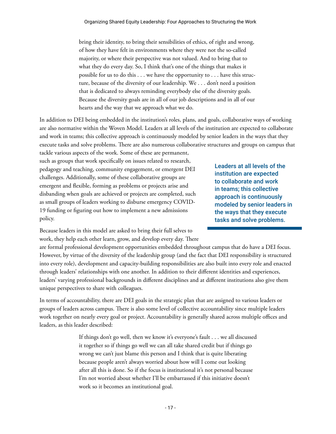bring their identity, to bring their sensibilities of ethics, of right and wrong, of how they have felt in environments where they were not the so-called majority, or where their perspective was not valued. And to bring that to what they do every day. So, I think that's one of the things that makes it possible for us to do this . . . we have the opportunity to . . . have this structure, because of the diversity of our leadership. We . . . don't need a position that is dedicated to always reminding everybody else of the diversity goals. Because the diversity goals are in all of our job descriptions and in all of our hearts and the way that we approach what we do.

In addition to DEI being embedded in the institution's roles, plans, and goals, collaborative ways of working are also normative within the Woven Model. Leaders at all levels of the institution are expected to collaborate and work in teams; this collective approach is continuously modeled by senior leaders in the ways that they execute tasks and solve problems. There are also numerous collaborative structures and groups on campus that

tackle various aspects of the work. Some of these are permanent, such as groups that work specifically on issues related to research, pedagogy and teaching, community engagement, or emergent DEI challenges. Additionally, some of these collaborative groups are emergent and flexible, forming as problems or projects arise and disbanding when goals are achieved or projects are completed, such as small groups of leaders working to disburse emergency COVID-19 funding or figuring out how to implement a new admissions policy.

Leaders at all levels of the institution are expected to collaborate and work in teams; this collective approach is continuously modeled by senior leaders in the ways that they execute tasks and solve problems.

Because leaders in this model are asked to bring their full selves to work, they help each other learn, grow, and develop every day. There

are formal professional development opportunities embedded throughout campus that do have a DEI focus. However, by virtue of the diversity of the leadership group (and the fact that DEI responsibility is structured into every role), development and capacity-building responsibilities are also built into every role and enacted through leaders' relationships with one another. In addition to their different identities and experiences, leaders' varying professional backgrounds in different disciplines and at different institutions also give them unique perspectives to share with colleagues.

In terms of accountability, there are DEI goals in the strategic plan that are assigned to various leaders or groups of leaders across campus. There is also some level of collective accountability since multiple leaders work together on nearly every goal or project. Accountability is generally shared across multiple offices and leaders, as this leader described:

> If things don't go well, then we know it's everyone's fault . . . we all discussed it together so if things go well we can all take shared credit but if things go wrong we can't just blame this person and I think that is quite liberating because people aren't always worried about how will I come out looking after all this is done. So if the focus is institutional it's not personal because I'm not worried about whether I'll be embarrassed if this initiative doesn't work so it becomes an institutional goal.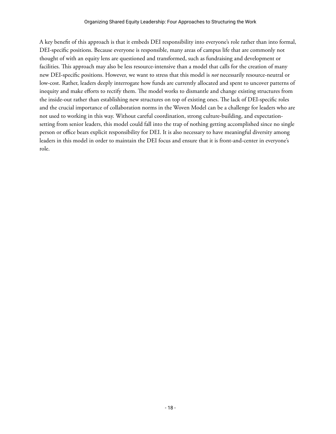A key benefit of this approach is that it embeds DEI responsibility into everyone's role rather than into formal, DEI-specific positions. Because everyone is responsible, many areas of campus life that are commonly not thought of with an equity lens are questioned and transformed, such as fundraising and development or facilities. This approach may also be less resource-intensive than a model that calls for the creation of many new DEI-specific positions. However, we want to stress that this model is *not* necessarily resource-neutral or low-cost. Rather, leaders deeply interrogate how funds are currently allocated and spent to uncover patterns of inequity and make efforts to rectify them. The model works to dismantle and change existing structures from the inside-out rather than establishing new structures on top of existing ones. The lack of DEI-specific roles and the crucial importance of collaboration norms in the Woven Model can be a challenge for leaders who are not used to working in this way. Without careful coordination, strong culture-building, and expectationsetting from senior leaders, this model could fall into the trap of nothing getting accomplished since no single person or office bears explicit responsibility for DEI. It is also necessary to have meaningful diversity among leaders in this model in order to maintain the DEI focus and ensure that it is front-and-center in everyone's role.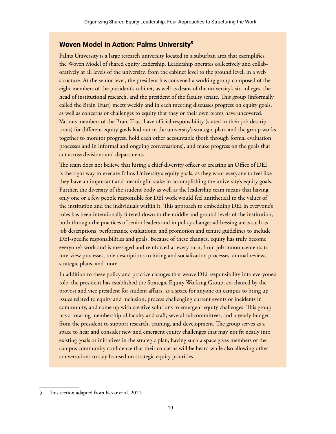#### **Woven Model in Action: Palms University5**

Palms University is a large research university located in a suburban area that exemplifies the Woven Model of shared equity leadership. Leadership operates collectively and collaboratively at all levels of the university, from the cabinet level to the ground level, in a web structure. At the senior level, the president has convened a working group composed of the eight members of the president's cabinet, as well as deans of the university's six colleges, the head of institutional research, and the president of the faculty senate. This group (informally called the Brain Trust) meets weekly and in each meeting discusses progress on equity goals, as well as concerns or challenges to equity that they or their own teams have uncovered. Various members of the Brain Trust have official responsibility (stated in their job descriptions) for different equity goals laid out in the university's strategic plan, and the group works together to monitor progress, hold each other accountable (both through formal evaluation processes and in informal and ongoing conversations), and make progress on the goals that cut across divisions and departments.

The team does not believe that hiring a chief diversity officer or creating an Office of DEI is the right way to execute Palms University's equity goals, as they want everyone to feel like they have an important and meaningful stake in accomplishing the university's equity goals. Further, the diversity of the student body as well as the leadership team means that having only one or a few people responsible for DEI work would feel antithetical to the values of the institution and the individuals within it. This approach to embedding DEI in everyone's roles has been intentionally filtered down to the middle and ground levels of the institution, both through the practices of senior leaders and in policy changes addressing areas such as job descriptions, performance evaluations, and promotion and tenure guidelines to include DEI-specific responsibilities and goals. Because of these changes, equity has truly become everyone's work and is messaged and reinforced at every turn, from job announcements to interview processes, role descriptions to hiring and socialization processes, annual reviews, strategic plans, and more.

In addition to these policy and practice changes that weave DEI responsibility into everyone's role, the president has established the Strategic Equity Working Group, co-chaired by the provost and vice president for student affairs, as a space for anyone on campus to bring up issues related to equity and inclusion, process challenging current events or incidents in community, and come up with creative solutions to emergent equity challenges. This group has a rotating membership of faculty and staff; several subcommittees; and a yearly budget from the president to support research, training, and development. The group serves as a space to hear and consider new and emergent equity challenges that may not fit neatly into existing goals or initiatives in the strategic plan; having such a space gives members of the campus community confidence that their concerns will be heard while also allowing other conversations to stay focused on strategic equity priorities.

<sup>5</sup> This section adapted from Kezar et al. 2021.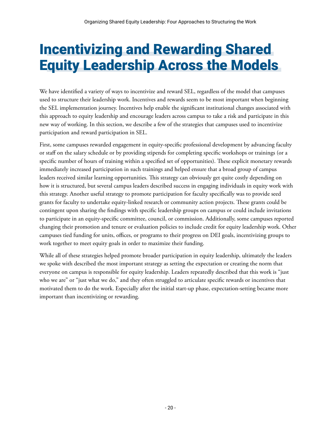## <span id="page-24-0"></span>Incentivizing and Rewarding Shared Equity Leadership Across the Models

We have identified a variety of ways to incentivize and reward SEL, regardless of the model that campuses used to structure their leadership work. Incentives and rewards seem to be most important when beginning the SEL implementation journey. Incentives help enable the significant institutional changes associated with this approach to equity leadership and encourage leaders across campus to take a risk and participate in this new way of working. In this section, we describe a few of the strategies that campuses used to incentivize participation and reward participation in SEL.

First, some campuses rewarded engagement in equity-specific professional development by advancing faculty or staff on the salary schedule or by providing stipends for completing specific workshops or trainings (or a specific number of hours of training within a specified set of opportunities). These explicit monetary rewards immediately increased participation in such trainings and helped ensure that a broad group of campus leaders received similar learning opportunities. This strategy can obviously get quite costly depending on how it is structured, but several campus leaders described success in engaging individuals in equity work with this strategy. Another useful strategy to promote participation for faculty specifically was to provide seed grants for faculty to undertake equity-linked research or community action projects. These grants could be contingent upon sharing the findings with specific leadership groups on campus or could include invitations to participate in an equity-specific committee, council, or commission. Additionally, some campuses reported changing their promotion and tenure or evaluation policies to include credit for equity leadership work. Other campuses tied funding for units, offices, or programs to their progress on DEI goals, incentivizing groups to work together to meet equity goals in order to maximize their funding.

While all of these strategies helped promote broader participation in equity leadership, ultimately the leaders we spoke with described the most important strategy as setting the expectation or creating the norm that everyone on campus is responsible for equity leadership. Leaders repeatedly described that this work is "just who we are" or "just what we do," and they often struggled to articulate specific rewards or incentives that motivated them to do the work. Especially after the initial start-up phase, expectation-setting became more important than incentivizing or rewarding.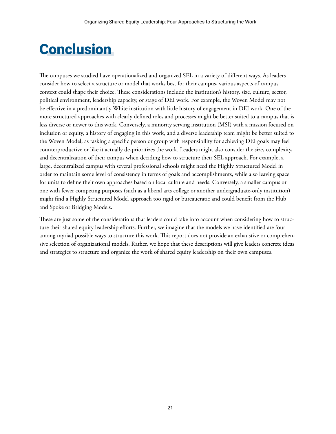# <span id="page-25-0"></span>**Conclusion**

The campuses we studied have operationalized and organized SEL in a variety of different ways. As leaders consider how to select a structure or model that works best for their campus, various aspects of campus context could shape their choice. These considerations include the institution's history, size, culture, sector, political environment, leadership capacity, or stage of DEI work. For example, the Woven Model may not be effective in a predominantly White institution with little history of engagement in DEI work. One of the more structured approaches with clearly defined roles and processes might be better suited to a campus that is less diverse or newer to this work. Conversely, a minority serving institution (MSI) with a mission focused on inclusion or equity, a history of engaging in this work, and a diverse leadership team might be better suited to the Woven Model, as tasking a specific person or group with responsibility for achieving DEI goals may feel counterproductive or like it actually de-prioritizes the work. Leaders might also consider the size, complexity, and decentralization of their campus when deciding how to structure their SEL approach. For example, a large, decentralized campus with several professional schools might need the Highly Structured Model in order to maintain some level of consistency in terms of goals and accomplishments, while also leaving space for units to define their own approaches based on local culture and needs. Conversely, a smaller campus or one with fewer competing purposes (such as a liberal arts college or another undergraduate-only institution) might find a Highly Structured Model approach too rigid or bureaucratic and could benefit from the Hub and Spoke or Bridging Models.

These are just some of the considerations that leaders could take into account when considering how to structure their shared equity leadership efforts. Further, we imagine that the models we have identified are four among myriad possible ways to structure this work. This report does not provide an exhaustive or comprehensive selection of organizational models. Rather, we hope that these descriptions will give leaders concrete ideas and strategies to structure and organize the work of shared equity leadership on their own campuses.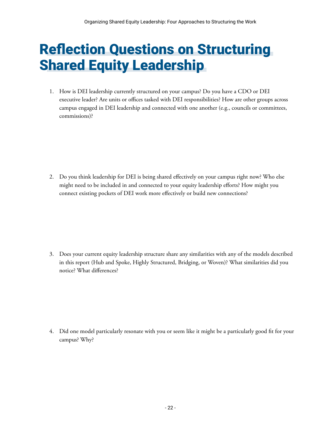# <span id="page-26-0"></span>Reflection Questions on Structuring Shared Equity Leadership

1. How is DEI leadership currently structured on your campus? Do you have a CDO or DEI executive leader? Are units or offices tasked with DEI responsibilities? How are other groups across campus engaged in DEI leadership and connected with one another (e.g., councils or committees, commissions)?

2. Do you think leadership for DEI is being shared effectively on your campus right now? Who else might need to be included in and connected to your equity leadership efforts? How might you connect existing pockets of DEI work more effectively or build new connections?

3. Does your current equity leadership structure share any similarities with any of the models described in this report (Hub and Spoke, Highly Structured, Bridging, or Woven)? What similarities did you notice? What differences?

4. Did one model particularly resonate with you or seem like it might be a particularly good fit for your campus? Why?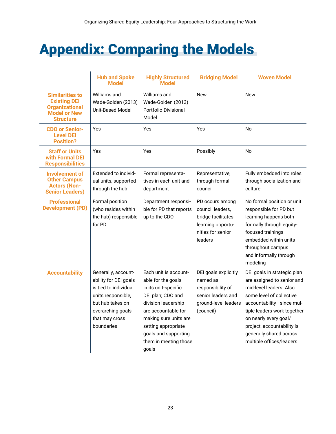# <span id="page-27-0"></span>Appendix: Comparing the Models

|                                                                                                                   | <b>Hub and Spoke</b><br><b>Model</b>                                                                                                                                 | <b>Highly Structured</b><br><b>Model</b>                                                                                                                                                                                                         | <b>Bridging Model</b>                                                                                            | <b>Woven Model</b>                                                                                                                                                                                                                                                                         |
|-------------------------------------------------------------------------------------------------------------------|----------------------------------------------------------------------------------------------------------------------------------------------------------------------|--------------------------------------------------------------------------------------------------------------------------------------------------------------------------------------------------------------------------------------------------|------------------------------------------------------------------------------------------------------------------|--------------------------------------------------------------------------------------------------------------------------------------------------------------------------------------------------------------------------------------------------------------------------------------------|
| <b>Similarities to</b><br><b>Existing DEI</b><br><b>Organizational</b><br><b>Model or New</b><br><b>Structure</b> | Williams and<br>Wade-Golden (2013)<br><b>Unit-Based Model</b>                                                                                                        | Williams and<br>Wade-Golden (2013)<br>Portfolio Divisional<br>Model                                                                                                                                                                              | <b>New</b>                                                                                                       | <b>New</b>                                                                                                                                                                                                                                                                                 |
| <b>CDO or Senior-</b><br><b>Level DEI</b><br><b>Position?</b>                                                     | Yes                                                                                                                                                                  | Yes                                                                                                                                                                                                                                              | Yes                                                                                                              | No                                                                                                                                                                                                                                                                                         |
| <b>Staff or Units</b><br>with Formal DEI<br><b>Responsibilities</b>                                               | Yes                                                                                                                                                                  | Yes                                                                                                                                                                                                                                              | Possibly                                                                                                         | No                                                                                                                                                                                                                                                                                         |
| <b>Involvement of</b><br><b>Other Campus</b><br><b>Actors (Non-</b><br><b>Senior Leaders)</b>                     | Extended to individ-<br>ual units, supported<br>through the hub                                                                                                      | Formal representa-<br>tives in each unit and<br>department                                                                                                                                                                                       | Representative,<br>through formal<br>council                                                                     | Fully embedded into roles<br>through socialization and<br>culture                                                                                                                                                                                                                          |
| <b>Professional</b><br><b>Development (PD)</b>                                                                    | Formal position<br>(who resides within<br>the hub) responsible<br>for PD                                                                                             | Department responsi-<br>ble for PD that reports<br>up to the CDO                                                                                                                                                                                 | PD occurs among<br>council leaders.<br>bridge facilitates<br>learning opportu-<br>nities for senior<br>leaders   | No formal position or unit<br>responsible for PD but<br>learning happens both<br>formally through equity-<br>focused trainings<br>embedded within units<br>throughout campus<br>and informally through<br>modeling                                                                         |
| <b>Accountability</b>                                                                                             | Generally, account-<br>ability for DEI goals<br>is tied to individual<br>units responsible,<br>but hub takes on<br>overarching goals<br>that may cross<br>boundaries | Each unit is account-<br>able for the goals<br>in its unit-specific<br>DEI plan; CDO and<br>division leadership<br>are accountable for<br>making sure units are<br>setting appropriate<br>goals and supporting<br>them in meeting those<br>qoals | DEI goals explicitly<br>named as<br>responsibility of<br>senior leaders and<br>ground-level leaders<br>(council) | DEI goals in strategic plan<br>are assigned to senior and<br>mid-level leaders. Also<br>some level of collective<br>accountability-since mul-<br>tiple leaders work together<br>on nearly every goal/<br>project, accountability is<br>generally shared across<br>multiple offices/leaders |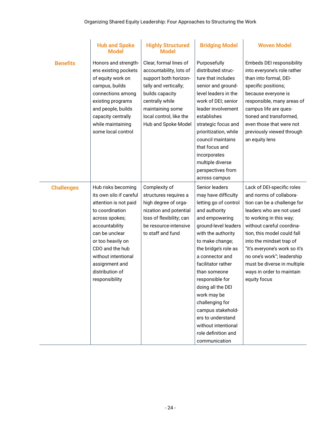|                   | <b>Hub and Spoke</b><br><b>Model</b>                                                                                                                                                                                                                                  | <b>Highly Structured</b><br><b>Model</b>                                                                                                                                                                        | <b>Bridging Model</b>                                                                                                                                                                                                                                                                                                                                                                                                                  | <b>Woven Model</b>                                                                                                                                                                                                                                                                                                                                                             |
|-------------------|-----------------------------------------------------------------------------------------------------------------------------------------------------------------------------------------------------------------------------------------------------------------------|-----------------------------------------------------------------------------------------------------------------------------------------------------------------------------------------------------------------|----------------------------------------------------------------------------------------------------------------------------------------------------------------------------------------------------------------------------------------------------------------------------------------------------------------------------------------------------------------------------------------------------------------------------------------|--------------------------------------------------------------------------------------------------------------------------------------------------------------------------------------------------------------------------------------------------------------------------------------------------------------------------------------------------------------------------------|
| <b>Benefits</b>   | Honors and strength-<br>ens existing pockets<br>of equity work on<br>campus, builds<br>connections among<br>existing programs<br>and people, builds<br>capacity centrally<br>while maintaining<br>some local control                                                  | Clear, formal lines of<br>accountability, lots of<br>support both horizon-<br>tally and vertically;<br>builds capacity<br>centrally while<br>maintaining some<br>local control, like the<br>Hub and Spoke Model | Purposefully<br>distributed struc-<br>ture that includes<br>senior and ground-<br>level leaders in the<br>work of DEI; senior<br>leader involvement<br>establishes<br>strategic focus and<br>prioritization, while<br>council maintains<br>that focus and<br>incorporates<br>multiple diverse<br>perspectives from<br>across campus                                                                                                    | Embeds DEI responsibility<br>into everyone's role rather<br>than into formal, DEI-<br>specific positions;<br>because everyone is<br>responsible, many areas of<br>campus life are ques-<br>tioned and transformed,<br>even those that were not<br>previously viewed through<br>an equity lens                                                                                  |
| <b>Challenges</b> | Hub risks becoming<br>its own silo if careful<br>attention is not paid<br>to coordination<br>across spokes;<br>accountability<br>can be unclear<br>or too heavily on<br>CDO and the hub<br>without intentional<br>assignment and<br>distribution of<br>responsibility | Complexity of<br>structures requires a<br>high degree of orga-<br>nization and potential<br>loss of flexibility; can<br>be resource-intensive<br>to staff and fund                                              | Senior leaders<br>may have difficulty<br>letting go of control<br>and authority<br>and empowering<br>ground-level leaders<br>with the authority<br>to make change;<br>the bridge's role as<br>a connector and<br>facilitator rather<br>than someone<br>responsible for<br>doing all the DEI<br>work may be<br>challenging for<br>campus stakehold-<br>ers to understand<br>without intentional<br>role definition and<br>communication | Lack of DEI-specific roles<br>and norms of collabora-<br>tion can be a challenge for<br>leaders who are not used<br>to working in this way;<br>without careful coordina-<br>tion, this model could fall<br>into the mindset trap of<br>"it's everyone's work so it's<br>no one's work"; leadership<br>must be diverse in multiple<br>ways in order to maintain<br>equity focus |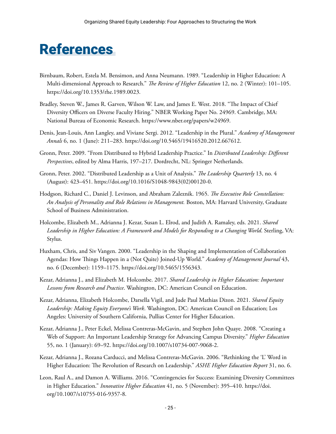## <span id="page-29-0"></span>References

- Birnbaum, Robert, Estela M. Bensimon, and Anna Neumann. 1989. "Leadership in Higher Education: A Multi-dimensional Approach to Research." *The Review of Higher Education* 12, no. 2 (Winter): 101–105. [https://doi.org/10.1353/rhe.1989.0023.](https://doi.org/10.1353/rhe.1989.0023)
- Bradley, Steven W., James R. Garven, Wilson W. Law, and James E. West. 2018. "The Impact of Chief Diversity Officers on Diverse Faculty Hiring." NBER Working Paper No. 24969. Cambridge, MA: National Bureau of Economic Research. [https://www.nber.org/papers/w24969.](https://www.nber.org/papers/w24969)
- Denis, Jean-Louis, Ann Langley, and Viviane Sergi. 2012. "Leadership in the Plural." *Academy of Management Annals* 6, no. 1 (June): 211–283. <https://doi.org/10.5465/19416520.2012.667612>.
- Gronn, Peter. 2009. "From Distributed to Hybrid Leadership Practice." In *Distributed Leadership: Different Perspectives*, edited by Alma Harris, 197–217. Dordrecht, NL: Springer Netherlands.
- Gronn, Peter. 2002. "Distributed Leadership as a Unit of Analysis." *The Leadership Quarterly* 13, no. 4 (August): 423–451. [https://doi.org/10.1016/S1048-9843\(02\)00120-0](https://doi.org/10.1016/S1048-9843(02)00120-0).
- Hodgson, Richard C., Daniel J. Levinson, and Abraham Zaleznik. 1965. *The Executive Role Constellation: An Analysis of Personality and Role Relations in Management.* Boston, MA: Harvard University, Graduate School of Business Administration.
- Holcombe, Elizabeth M., Adrianna J. Kezar, Susan L. Elrod, and Judith A. Ramaley, eds. 2021. *Shared Leadership in Higher Education: A Framework and Models for Responding to a Changing World*. Sterling, VA: Stylus.
- Huxham, Chris, and Siv Vangen. 2000. "Leadership in the Shaping and Implementation of Collaboration Agendas: How Things Happen in a (Not Quite) Joined-Up World." *Academy of Management Journal* 43, no. 6 (December): 1159–1175. [https://doi.org/10.5465/1556343.](https://doi.org/10.5465/1556343)
- Kezar, Adrianna J., and Elizabeth M. Holcombe. 2017. *Shared Leadership in Higher Education: Important Lessons from Research and Practice*. Washington, DC: American Council on Education.
- Kezar, Adrianna, Elizabeth Holcombe, Darsella Vigil, and Jude Paul Mathias Dizon. 2021. *Shared Equity Leadership: Making Equity Everyone's Work*. Washington, DC: American Council on Education; Los Angeles: University of Southern California, Pullias Center for Higher Education.
- Kezar, Adrianna J., Peter Eckel, Melissa Contreras-McGavin, and Stephen John Quaye. 2008. "Creating a Web of Support: An Important Leadership Strategy for Advancing Campus Diversity." *Higher Education* 55, no. 1 (January): 69–92.<https://doi.org/10.1007/s10734-007-9068-2>.
- Kezar, Adrianna J., Rozana Carducci, and Melissa Contreras-McGavin. 2006. "Rethinking the 'L' Word in Higher Education: The Revolution of Research on Leadership." *ASHE Higher Education Report* 31, no. 6.
- Leon, Raul A., and Damon A. Williams. 2016. "Contingencies for Success: Examining Diversity Committees in Higher Education." *Innovative Higher Education* 41, no. 5 (November): 395–410. [https://doi.](https://doi.org/10.1007/s10755-016-9357-8) [org/10.1007/s10755-016-9357-8.](https://doi.org/10.1007/s10755-016-9357-8)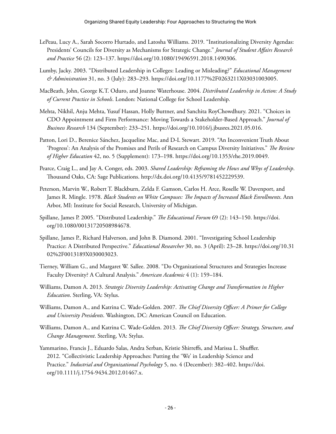- LePeau, Lucy A., Sarah Socorro Hurtado, and Latosha Williams. 2019. "Institutionalizing Diversity Agendas: Presidents' Councils for Diversity as Mechanisms for Strategic Change." *Journal of Student Affairs Research and Practice* 56 (2): 123–137. [https://doi.org/10.1080/19496591.2018.1490306.](https://doi.org/10.1080/19496591.2018.1490306)
- Lumby, Jacky. 2003. "Distributed Leadership in Colleges: Leading or Misleading?" *Educational Management & Administration* 31, no. 3 (July): 283–293. [https://doi.org/10.1177%2F0263211X03031003005.](https://doi.org/10.1177%2F0263211X03031003005)
- MacBeath, John, George K.T. Oduro, and Joanne Waterhouse. 2004. *Distributed Leadership in Action: A Study of Current Practice in Schools*. London: National College for School Leadership.
- Mehta, Nikhil, Anju Mehta, Yusuf Hassan, Holly Buttner, and Sanchita RoyChowdhury. 2021. "Choices in CDO Appointment and Firm Performance: Moving Towards a Stakeholder-Based Approach." *Journal of Business Research* 134 (September): 233–251. [https://doi.org/10.1016/j.jbusres.2021.05.016.](https://doi.org/10.1016/j.jbusres.2021.05.016)
- Patton, Lori D., Berenice Sánchez, Jacqueline Mac, and D-L Stewart. 2019. "An Inconvenient Truth About 'Progress': An Analysis of the Promises and Perils of Research on Campus Diversity Initiatives." *The Review of Higher Education* 42, no. 5 (Supplement): 173–198. [https://doi.org/10.1353/rhe.2019.0049.](https://doi.org/10.1353/rhe.2019.0049)
- Pearce, Craig L., and Jay A. Conger, eds. 2003. *Shared Leadership: Reframing the Hows and Whys of Leadership*. Thousand Oaks, CA: Sage Publications.<http://dx.doi.org/10.4135/9781452229539>.
- Peterson, Marvin W., Robert T. Blackburn, Zelda F. Gamson, Carlos H. Arce, Roselle W. Davenport, and James R. Mingle. 1978. *Black Students on White Campuses: The Impacts of Increased Black Enrollments*. Ann Arbor, MI: Institute for Social Research, University of Michigan.
- Spillane, James P. 2005. "Distributed Leadership." *The Educational Forum* 69 (2): 143–150. [https://doi.](https://doi.org/10.1080/00131720508984678) [org/10.1080/00131720508984678.](https://doi.org/10.1080/00131720508984678)
- Spillane, James P., Richard Halverson, and John B. Diamond. 2001. "Investigating School Leadership Practice: A Distributed Perspective." *Educational Researcher* 30, no. 3 (April): 23–28. [https://doi.org/10.31](https://doi.org/10.3102%2F0013189X030003023) [02%2F0013189X030003023](https://doi.org/10.3102%2F0013189X030003023).
- Tierney, William G., and Margaret W. Sallee. 2008. "Do Organizational Structures and Strategies Increase Faculty Diversity? A Cultural Analysis." *American Academic* 4 (1): 159–184.
- Williams, Damon A. 2013. *Strategic Diversity Leadership: Activating Change and Transformation in Higher Education*. Sterling, VA: Stylus.
- Williams, Damon A., and Katrina C. Wade-Golden. 2007. *The Chief Diversity Officer: A Primer for College and University Presidents*. Washington, DC: American Council on Education.
- Williams, Damon A., and Katrina C. Wade-Golden. 2013. *The Chief Diversity Officer: Strategy, Structure, and Change Management*. Sterling, VA: Stylus.
- Yammarino, Francis J., Eduardo Salas, Andra Serban, Kristie Shirreffs, and Marissa L. Shuffler. 2012. "Collectivistic Leadership Approaches: Putting the 'We' in Leadership Science and Practice." *Industrial and Organizational Psychology* 5, no. 4 (December): 382–402. [https://doi.](https://doi.org/10.1111/j.1754-9434.2012.01467.x) [org/10.1111/j.1754-9434.2012.01467.x.](https://doi.org/10.1111/j.1754-9434.2012.01467.x)